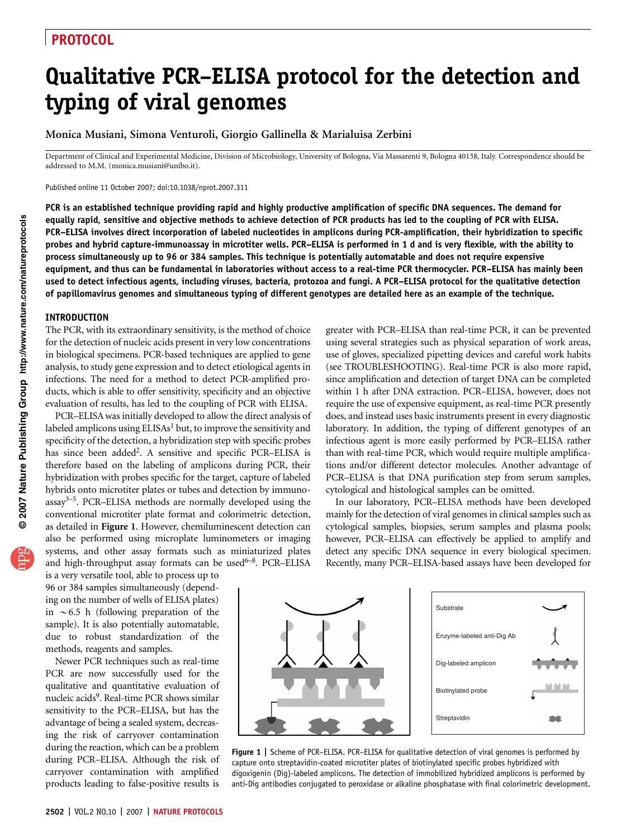# Qualitative PCR–ELISA protocol for the detection and typing of viral genomes

Monica Musiani, Simona Venturoli, Giorgio Gallinella & Marialuisa Zerbini

Department of Clinical and Experimental Medicine, Division of Microbiology, University of Bologna, Via Massarenti 9, Bologna 40138, Italy. Correspondence should be addressed to M.M. (monica.musiani@unibo.it).

Published online 11 October 2007; doi:10.1038/nprot.2007.311

PCR is an established technique providing rapid and highly productive amplification of specific DNA sequences. The demand for equally rapid, sensitive and objective methods to achieve detection of PCR products has led to the coupling of PCR with ELISA. PCR–ELISA involves direct incorporation of labeled nucleotides in amplicons during PCR-amplification, their hybridization to specific probes and hybrid capture-immunoassay in microtiter wells. PCR–ELISA is performed in 1 d and is very flexible, with the ability to process simultaneously up to 96 or 384 samples. This technique is potentially automatable and does not require expensive equipment, and thus can be fundamental in laboratories without access to a real-time PCR thermocycler. PCR–ELISA has mainly been used to detect infectious agents, including viruses, bacteria, protozoa and fungi. A PCR–ELISA protocol for the qualitative detection of papillomavirus genomes and simultaneous typing of different genotypes are detailed here as an example of the technique.

#### INTRODUCTION

The PCR, with its extraordinary sensitivity, is the method of choice for the detection of nucleic acids present in very low concentrations in biological specimens. PCR-based techniques are applied to gene analysis, to study gene expression and to detect etiological agents in infections. The need for a method to detect PCR-amplified products, which is able to offer sensitivity, specificity and an objective evaluation of results, has led to the coupling of PCR with ELISA.

PCR–ELISA was initially developed to allow the direct analysis of labeled amplicons using ELISAs<sup>1</sup> but, to improve the sensitivity and specificity of the detection, a hybridization step with specific probes has since been added<sup>2</sup>. A sensitive and specific PCR–ELISA is therefore based on the labeling of amplicons during PCR, their hybridization with probes specific for the target, capture of labeled hybrids onto microtiter plates or tubes and detection by immunoassay3–5. PCR–ELISA methods are normally developed using the conventional microtiter plate format and colorimetric detection, as detailed in Figure 1. However, chemiluminescent detection can also be performed using microplate luminometers or imaging systems, and other assay formats such as miniaturized plates and high-throughput assay formats can be used<sup>6-8</sup>. PCR-ELISA

is a very versatile tool, able to process up to 96 or 384 samples simultaneously (depending on the number of wells of ELISA plates) in  $\sim$  6.5 h (following preparation of the sample). It is also potentially automatable, due to robust standardization of the methods, reagents and samples.

Newer PCR techniques such as real-time PCR are now successfully used for the qualitative and quantitative evaluation of nucleic acids<sup>9</sup>. Real-time PCR shows similar sensitivity to the PCR–ELISA, but has the advantage of being a sealed system, decreasing the risk of carryover contamination during the reaction, which can be a problem during PCR–ELISA. Although the risk of carryover contamination with amplified products leading to false-positive results is

greater with PCR–ELISA than real-time PCR, it can be prevented using several strategies such as physical separation of work areas, use of gloves, specialized pipetting devices and careful work habits (see TROUBLESHOOTING). Real-time PCR is also more rapid, since amplification and detection of target DNA can be completed within 1 h after DNA extraction. PCR–ELISA, however, does not require the use of expensive equipment, as real-time PCR presently does, and instead uses basic instruments present in every diagnostic laboratory. In addition, the typing of different genotypes of an infectious agent is more easily performed by PCR–ELISA rather than with real-time PCR, which would require multiple amplifications and/or different detector molecules. Another advantage of PCR–ELISA is that DNA purification step from serum samples, cytological and histological samples can be omitted.

In our laboratory, PCR–ELISA methods have been developed mainly for the detection of viral genomes in clinical samples such as cytological samples, biopsies, serum samples and plasma pools; however, PCR–ELISA can effectively be applied to amplify and detect any specific DNA sequence in every biological specimen. Recently, many PCR–ELISA-based assays have been developed for



Figure 1 | Scheme of PCR–ELISA. PCR–ELISA for qualitative detection of viral genomes is performed by capture onto streptavidin-coated microtiter plates of biotinylated specific probes hybridized with digoxigenin (Dig)-labeled amplicons. The detection of immobilized hybridized amplicons is performed by anti-Dig antibodies conjugated to peroxidase or alkaline phosphatase with final colorimetric development.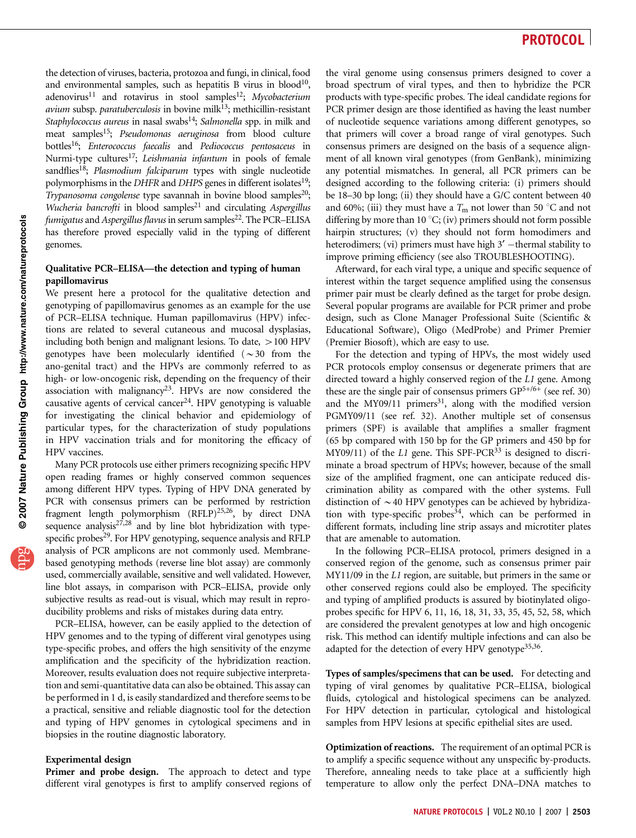the detection of viruses, bacteria, protozoa and fungi, in clinical, food and environmental samples, such as hepatitis B virus in  $b$ lood<sup>10</sup>, adenovirus<sup>11</sup> and rotavirus in stool samples<sup>12</sup>; Mycobacterium  $avium$  subsp. paratuberculosis in bovine milk $^{13}$ ; methicillin-resistant Staphylococcus aureus in nasal swabs<sup>14</sup>; Salmonella spp. in milk and meat samples<sup>15</sup>; Pseudomonas aeruginosa from blood culture bottles<sup>16</sup>; Enterococcus faecalis and Pediococcus pentosaceus in Nurmi-type cultures<sup>17</sup>; Leishmania infantum in pools of female sandflies<sup>18</sup>; Plasmodium falciparum types with single nucleotide polymorphisms in the DHFR and DHPS genes in different isolates<sup>19</sup>; Trypanosoma congolense type savannah in bovine blood samples<sup>20</sup>; Wucheria bancrofti in blood samples<sup>21</sup> and circulating Aspergillus fumigatus and Aspergillus flavus in serum samples<sup>22</sup>. The PCR-ELISA has therefore proved especially valid in the typing of different genomes.

### Qualitative PCR–ELISA—the detection and typing of human papillomavirus

We present here a protocol for the qualitative detection and genotyping of papillomavirus genomes as an example for the use of PCR–ELISA technique. Human papillomavirus (HPV) infections are related to several cutaneous and mucosal dysplasias, including both benign and malignant lesions. To date,  $>100$  HPV genotypes have been molecularly identified ( $\sim$ 30 from the ano-genital tract) and the HPVs are commonly referred to as high- or low-oncogenic risk, depending on the frequency of their association with malignancy<sup>23</sup>. HPVs are now considered the causative agents of cervical cancer<sup>24</sup>. HPV genotyping is valuable for investigating the clinical behavior and epidemiology of particular types, for the characterization of study populations in HPV vaccination trials and for monitoring the efficacy of HPV vaccines.

Many PCR protocols use either primers recognizing specific HPV open reading frames or highly conserved common sequences among different HPV types. Typing of HPV DNA generated by PCR with consensus primers can be performed by restriction fragment length polymorphism (RFLP)<sup>25,26</sup>, by direct DNA sequence analysis<sup>27,28</sup> and by line blot hybridization with typespecific probes<sup>29</sup>. For HPV genotyping, sequence analysis and RFLP analysis of PCR amplicons are not commonly used. Membranebased genotyping methods (reverse line blot assay) are commonly used, commercially available, sensitive and well validated. However, line blot assays, in comparison with PCR–ELISA, provide only subjective results as read-out is visual, which may result in reproducibility problems and risks of mistakes during data entry.

PCR–ELISA, however, can be easily applied to the detection of HPV genomes and to the typing of different viral genotypes using type-specific probes, and offers the high sensitivity of the enzyme amplification and the specificity of the hybridization reaction. Moreover, results evaluation does not require subjective interpretation and semi-quantitative data can also be obtained. This assay can be performed in 1 d, is easily standardized and therefore seems to be a practical, sensitive and reliable diagnostic tool for the detection and typing of HPV genomes in cytological specimens and in biopsies in the routine diagnostic laboratory.

#### Experimental design

Primer and probe design. The approach to detect and type different viral genotypes is first to amplify conserved regions of

the viral genome using consensus primers designed to cover a broad spectrum of viral types, and then to hybridize the PCR products with type-specific probes. The ideal candidate regions for PCR primer design are those identified as having the least number of nucleotide sequence variations among different genotypes, so that primers will cover a broad range of viral genotypes. Such consensus primers are designed on the basis of a sequence alignment of all known viral genotypes (from GenBank), minimizing any potential mismatches. In general, all PCR primers can be designed according to the following criteria: (i) primers should be 18–30 bp long; (ii) they should have a G/C content between 40 and 60%; (iii) they must have a  $T_m$  not lower than 50 °C and not differing by more than 10  $\mathrm{^{\circ}C}$ ; (iv) primers should not form possible hairpin structures; (v) they should not form homodimers and heterodimers; (vi) primers must have high  $3'$  -thermal stability to improve priming efficiency (see also TROUBLESHOOTING).

Afterward, for each viral type, a unique and specific sequence of interest within the target sequence amplified using the consensus primer pair must be clearly defined as the target for probe design. Several popular programs are available for PCR primer and probe design, such as Clone Manager Professional Suite (Scientific & Educational Software), Oligo (MedProbe) and Primer Premier (Premier Biosoft), which are easy to use.

For the detection and typing of HPVs, the most widely used PCR protocols employ consensus or degenerate primers that are directed toward a highly conserved region of the L1 gene. Among these are the single pair of consensus primers  $GP^{5+/6+}$  (see ref. 30) and the MY09/11 primers<sup>31</sup>, along with the modified version PGMY09/11 (see ref. 32). Another multiple set of consensus primers (SPF) is available that amplifies a smaller fragment (65 bp compared with 150 bp for the GP primers and 450 bp for MY09/11) of the L1 gene. This SPF-PCR<sup>33</sup> is designed to discriminate a broad spectrum of HPVs; however, because of the small size of the amplified fragment, one can anticipate reduced discrimination ability as compared with the other systems. Full distinction of  $\sim$  40 HPV genotypes can be achieved by hybridization with type-specific probes<sup>34</sup>, which can be performed in different formats, including line strip assays and microtiter plates that are amenable to automation.

In the following PCR–ELISA protocol, primers designed in a conserved region of the genome, such as consensus primer pair MY11/09 in the L1 region, are suitable, but primers in the same or other conserved regions could also be employed. The specificity and typing of amplified products is assured by biotinylated oligoprobes specific for HPV 6, 11, 16, 18, 31, 33, 35, 45, 52, 58, which are considered the prevalent genotypes at low and high oncogenic risk. This method can identify multiple infections and can also be adapted for the detection of every HPV genotype<sup>35,36</sup>.

Types of samples/specimens that can be used. For detecting and typing of viral genomes by qualitative PCR–ELISA, biological fluids, cytological and histological specimens can be analyzed. For HPV detection in particular, cytological and histological samples from HPV lesions at specific epithelial sites are used.

Optimization of reactions. The requirement of an optimal PCR is to amplify a specific sequence without any unspecific by-products. Therefore, annealing needs to take place at a sufficiently high temperature to allow only the perfect DNA–DNA matches to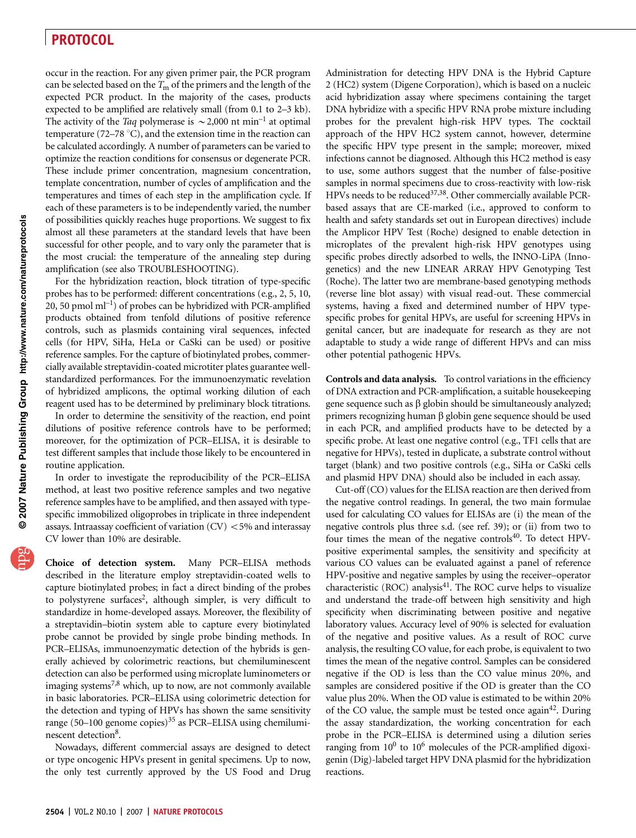occur in the reaction. For any given primer pair, the PCR program can be selected based on the  $T<sub>m</sub>$  of the primers and the length of the expected PCR product. In the majority of the cases, products expected to be amplified are relatively small (from 0.1 to 2–3 kb). The activity of the Taq polymerase is  $\sim$  2,000 nt min<sup>-1</sup> at optimal temperature (72–78 °C), and the extension time in the reaction can be calculated accordingly. A number of parameters can be varied to optimize the reaction conditions for consensus or degenerate PCR. These include primer concentration, magnesium concentration, template concentration, number of cycles of amplification and the temperatures and times of each step in the amplification cycle. If each of these parameters is to be independently varied, the number of possibilities quickly reaches huge proportions. We suggest to fix almost all these parameters at the standard levels that have been successful for other people, and to vary only the parameter that is the most crucial: the temperature of the annealing step during amplification (see also TROUBLESHOOTING).

For the hybridization reaction, block titration of type-specific probes has to be performed: different concentrations (e.g., 2, 5, 10, 20, 50 pmol  $ml^{-1}$ ) of probes can be hybridized with PCR-amplified products obtained from tenfold dilutions of positive reference controls, such as plasmids containing viral sequences, infected cells (for HPV, SiHa, HeLa or CaSki can be used) or positive reference samples. For the capture of biotinylated probes, commercially available streptavidin-coated microtiter plates guarantee wellstandardized performances. For the immunoenzymatic revelation of hybridized amplicons, the optimal working dilution of each reagent used has to be determined by preliminary block titrations.

In order to determine the sensitivity of the reaction, end point dilutions of positive reference controls have to be performed; moreover, for the optimization of PCR–ELISA, it is desirable to test different samples that include those likely to be encountered in routine application.

In order to investigate the reproducibility of the PCR–ELISA method, at least two positive reference samples and two negative reference samples have to be amplified, and then assayed with typespecific immobilized oligoprobes in triplicate in three independent assays. Intraassay coefficient of variation  $(CV) < 5%$  and interassay CV lower than 10% are desirable.

Choice of detection system. Many PCR–ELISA methods described in the literature employ streptavidin-coated wells to capture biotinylated probes; in fact a direct binding of the probes to polystyrene surfaces<sup>2</sup>, although simpler, is very difficult to standardize in home-developed assays. Moreover, the flexibility of a streptavidin–biotin system able to capture every biotinylated probe cannot be provided by single probe binding methods. In PCR–ELISAs, immunoenzymatic detection of the hybrids is generally achieved by colorimetric reactions, but chemiluminescent detection can also be performed using microplate luminometers or imaging systems<sup>7,8</sup> which, up to now, are not commonly available in basic laboratories. PCR–ELISA using colorimetric detection for the detection and typing of HPVs has shown the same sensitivity range (50–100 genome copies)<sup>35</sup> as PCR–ELISA using chemiluminescent detection<sup>8</sup>.

Nowadays, different commercial assays are designed to detect or type oncogenic HPVs present in genital specimens. Up to now, the only test currently approved by the US Food and Drug Administration for detecting HPV DNA is the Hybrid Capture 2 (HC2) system (Digene Corporation), which is based on a nucleic acid hybridization assay where specimens containing the target DNA hybridize with a specific HPV RNA probe mixture including probes for the prevalent high-risk HPV types. The cocktail approach of the HPV HC2 system cannot, however, determine the specific HPV type present in the sample; moreover, mixed infections cannot be diagnosed. Although this HC2 method is easy to use, some authors suggest that the number of false-positive samples in normal specimens due to cross-reactivity with low-risk HPVs needs to be reduced<sup>37,38</sup>. Other commercially available PCRbased assays that are CE-marked (i.e., approved to conform to health and safety standards set out in European directives) include the Amplicor HPV Test (Roche) designed to enable detection in microplates of the prevalent high-risk HPV genotypes using specific probes directly adsorbed to wells, the INNO-LiPA (Innogenetics) and the new LINEAR ARRAY HPV Genotyping Test (Roche). The latter two are membrane-based genotyping methods (reverse line blot assay) with visual read-out. These commercial systems, having a fixed and determined number of HPV typespecific probes for genital HPVs, are useful for screening HPVs in genital cancer, but are inadequate for research as they are not adaptable to study a wide range of different HPVs and can miss other potential pathogenic HPVs.

Controls and data analysis. To control variations in the efficiency of DNA extraction and PCR-amplification, a suitable housekeeping gene sequence such as  $\beta$  globin should be simultaneously analyzed; primers recognizing human  $\beta$  globin gene sequence should be used in each PCR, and amplified products have to be detected by a specific probe. At least one negative control (e.g., TF1 cells that are negative for HPVs), tested in duplicate, a substrate control without target (blank) and two positive controls (e.g., SiHa or CaSki cells and plasmid HPV DNA) should also be included in each assay.

Cut-off (CO) values for the ELISA reaction are then derived from the negative control readings. In general, the two main formulae used for calculating CO values for ELISAs are (i) the mean of the negative controls plus three s.d. (see ref. 39); or (ii) from two to four times the mean of the negative controls<sup>40</sup>. To detect HPVpositive experimental samples, the sensitivity and specificity at various CO values can be evaluated against a panel of reference HPV-positive and negative samples by using the receiver–operator characteristic (ROC) analysis $41$ . The ROC curve helps to visualize and understand the trade-off between high sensitivity and high specificity when discriminating between positive and negative laboratory values. Accuracy level of 90% is selected for evaluation of the negative and positive values. As a result of ROC curve analysis, the resulting CO value, for each probe, is equivalent to two times the mean of the negative control. Samples can be considered negative if the OD is less than the CO value minus 20%, and samples are considered positive if the OD is greater than the CO value plus 20%. When the OD value is estimated to be within 20% of the CO value, the sample must be tested once again<sup>42</sup>. During the assay standardization, the working concentration for each probe in the PCR–ELISA is determined using a dilution series ranging from  $10^0$  to  $10^6$  molecules of the PCR-amplified digoxigenin (Dig)-labeled target HPV DNA plasmid for the hybridization reactions.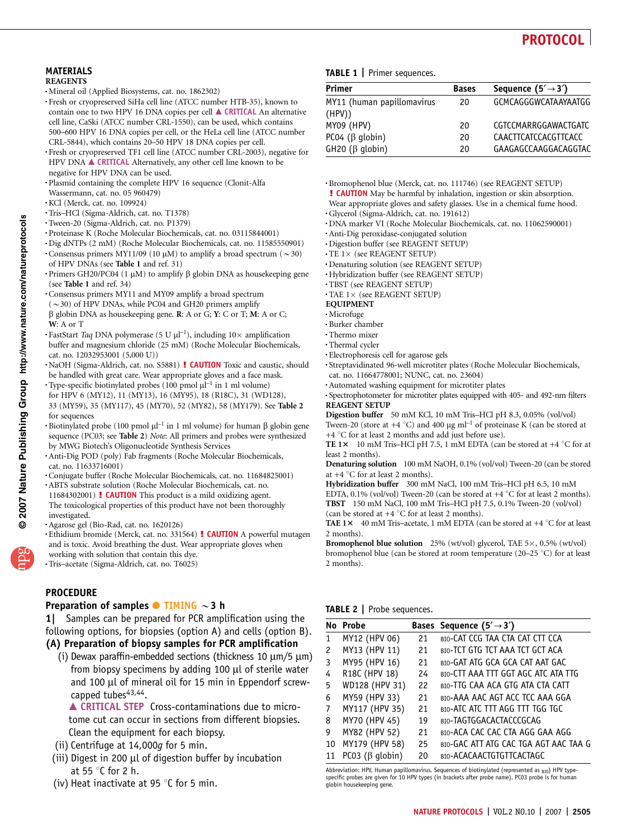#### MATERIALS **REAGENTS**

- .Mineral oil (Applied Biosystems, cat. no. 1862302)
- .Fresh or cryopreserved SiHa cell line (ATCC number HTB-35), known to contain one to two HPV 16 DNA copies per cell  $\triangle$  CRITICAL An alternative cell line, CaSki (ATCC number CRL-1550), can be used, which contains 500–600 HPV 16 DNA copies per cell, or the HeLa cell line (ATCC number CRL-5844), which contains 20–50 HPV 18 DNA copies per cell.
- .Fresh or cryopreserved TF1 cell line (ATCC number CRL-2003), negative for HPV DNA ▲ CRITICAL Alternatively, any other cell line known to be negative for HPV DNA can be used.
- .Plasmid containing the complete HPV 16 sequence (Clonit-Alfa
- Wassermann, cat. no. 05 960479)
- .KCl (Merck, cat. no. 109924)
- .Tris–HCl (Sigma-Aldrich, cat. no. T1378)
- .Tween-20 (Sigma-Aldrich, cat. no. P1379)
- .Proteinase K (Roche Molecular Biochemicals, cat. no. 03115844001)
- .Dig dNTPs (2 mM) (Roche Molecular Biochemicals, cat. no. 11585550901)  $\cdot$  Consensus primers MY11/09 (10 µM) to amplify a broad spectrum ( $\sim$ 30)
- of HPV DNAs (see **Table 1** and ref. 31)<br>  $\cdot$  Primers GH20/PC04 (1  $\mu$ M) to amplify  $\beta$  globin DNA as housekeeping gene
- (see Table 1 and ref. 34) . Consensus primers MY11 and MY09 amplify a broad spectrum
- $(\sim 30)$  of HPV DNAs, while PC04 and GH20 primers amplify
- $\beta$  globin DNA as housekeeping gene. R: A or G; Y: C or T; M: A or C;
- W: A or T<br>
FastStart *Taq* DNA polymerase (5 U  $\mu$ I<sup>-1</sup>), including 10× amplification buffer and magnesium chloride (25 mM) (Roche Molecular Biochemicals, cat. no. 12032953001 (5,000 U))
- .NaOH (Sigma-Aldrich, cat. no. S5881) ! CAUTION Toxic and caustic, should be handled with great care. Wear appropriate gloves and a face mask.
- Type-specific biotinylated probes  $(100 \text{ pmol }\mu\text{L}^{-1}$  in 1 ml volume) for HPV 6 (MY12), 11 (MY13), 16 (MY95), 18 (R18C), 31 (WD128), 33 (MY59), 35 (MY117), 45 (MY70), 52 (MY82), 58 (MY179). See Table 2
- for sequences  $\cdot$  Biotinylated probe (100 pmol  $\mu$ I<sup>-1</sup> in 1 ml volume) for human  $\beta$  globin gene sequence (PC03; see Table 2) Note: All primers and probes were synthesized by MWG Biotech's Oligonucleotide Synthesis Services
- .Anti-Dig POD (poly) Fab fragments (Roche Molecular Biochemicals, cat. no. 11633716001)
- .Conjugate buffer (Roche Molecular Biochemicals, cat. no. 11684825001)
- .ABTS substrate solution (Roche Molecular Biochemicals, cat. no. 11684302001) **! CAUTION** This product is a mild oxidizing agent.
- The toxicological properties of this product have not been thoroughly investigated.
- .Agarose gel (Bio-Rad, cat. no. 1620126)
- · Ethidium bromide (Merck, cat. no. 331564) ! CAUTION A powerful mutagen and is toxic. Avoid breathing the dust. Wear appropriate gloves when working with solution that contain this dye.
- .Tris–acetate (Sigma-Aldrich, cat. no. T6025)

### PROCEDURE

#### Preparation of samples  $\bullet$  TIMING  $\sim$  3 h

1| Samples can be prepared for PCR amplification using the following options, for biopsies (option A) and cells (option B).

### (A) Preparation of biopsy samples for PCR amplification

(i) Dewax paraffin-embedded sections (thickness 10  $\mu$ m/5  $\mu$ m) from biopsy specimens by adding 100 µl of sterile water and 100 µl of mineral oil for 15 min in Eppendorf screwcapped tubes $43,44$ .

▲ CRITICAL STEP Cross-contaminations due to microtome cut can occur in sections from different biopsies. Clean the equipment for each biopsy.

- (ii) Centrifuge at 14,000g for 5 min.
- (iii) Digest in 200  $\mu$ l of digestion buffer by incubation at 55 $\degree$ C for 2 h.
- (iv) Heat inactivate at 95  $\degree$ C for 5 min.

#### TABLE 1 | Primer sequences.

| Primer                     | Sequence $(5' \rightarrow 3')$<br><b>Bases</b> |
|----------------------------|------------------------------------------------|
| MY11 (human papillomavirus | GCMCAGGGWCATAAYAATGG<br>20                     |
| (HPV)                      |                                                |
| MY09 (HPV)                 | CGTCCMARRGGAWACTGATC<br>20                     |
| $PC04$ ( $\beta$ globin)   | CAACTTCATCCACGTTCACC<br>20                     |
| $GH20$ ( $\beta$ globin)   | GAAGAGCCAAGGACAGGTAC<br>20                     |
|                            |                                                |

.Bromophenol blue (Merck, cat. no. 111746) (see REAGENT SETUP)

! CAUTION May be harmful by inhalation, ingestion or skin absorption. Wear appropriate gloves and safety glasses. Use in a chemical fume hood.

- .Glycerol (Sigma-Aldrich, cat. no. 191612)
- .DNA marker VI (Roche Molecular Biochemicals, cat. no. 11062590001)
- .Anti-Dig peroxidase-conjugated solution
- .Digestion buffer (see REAGENT SETUP)
- $\cdot$ TE 1 $\times$  (see REAGENT SETUP)
- $\cdot$  Denaturing solution (see REAGENT SETUP)
- .Hybridization buffer (see REAGENT SETUP)
- .TBST (see REAGENT SETUP)
- THE  $1 \times$  (see REAGENT SETUP)

#### EQUIPMENT

- .Microfuge
- .Burker chamber
- .Thermo mixer
- .Thermal cycler
- .Electrophoresis cell for agarose gels
- .Streptavidinated 96-well microtiter plates (Roche Molecular Biochemicals, cat. no. 11664778001; NUNC, cat. no. 23604)
- .Automated washing equipment for microtiter plates

.Spectrophotometer for microtiter plates equipped with 405- and 492-nm filters REAGENT SETUP

Digestion buffer 50 mM KCl, 10 mM Tris–HCl pH 8.3, 0.05% (vol/vol) Tween-20 (store at +4  $^{\circ}$ C) and 400 µg ml<sup>-1</sup> of proteinase K (can be stored at

+4 °C for at least 2 months and add just before use). TE 1 $\times$  10 mM Tris–HCl pH 7.5, 1 mM EDTA (can be stored at +4 °C for at least 2 months).

Denaturing solution 100 mM NaOH, 0.1% (vol/vol) Tween-20 (can be stored at  $+4$  °C for at least 2 months).

Hybridization buffer 300 mM NaCl, 100 mM Tris–HCl pH 6.5, 10 mM EDTA, 0.1% (vol/vol) Tween-20 (can be stored at  $+4$  °C for at least 2 months). TBST 150 mM NaCl, 100 mM Tris–HCl pH 7.5, 0.1% Tween-20 (vol/vol) (can be stored at  $+4$  °C for at least 2 months).

**TAE 1** $\times$  40 mM Tris–acetate, 1 mM EDTA (can be stored at +4  $\degree$ C for at least 2 months).

**Bromophenol blue solution**  $25\%$  (wt/vol) glycerol, TAE  $5\times$ , 0.5% (wt/vol) bromophenol blue (can be stored at room temperature (20–25  $^{\circ}$ C) for at least 2 months).

#### TABLE 2 | Probe sequences.

|              | No Probe               |    | Bases Sequence ( $5' \rightarrow 3'$ ) |
|--------------|------------------------|----|----------------------------------------|
| $\mathbf{1}$ | MY12 (HPV 06)          | 21 | BIO-CAT CCG TAA CTA CAT CTT CCA        |
| 2            | MY13 (HPV 11)          | 21 | BIO-TCT GTG TCT AAA TCT GCT ACA        |
| 3            | MY95 (HPV 16)          | 21 | BIO-GAT ATG GCA GCA CAT AAT GAC        |
| 4            | R18C (HPV 18)          | 24 | BIO-CTT AAA TTT GGT AGC ATC ATA TTG    |
| 5            | WD128 (HPV 31)         | 22 | BIO-TTG CAA ACA GTG ATA CTA CATT       |
| 6            | MY59 (HPV 33)          | 21 | BIO-AAA AAC AGT ACC TCC AAA GGA        |
| $7^{\circ}$  | MY117 (HPV 35)         | 21 | BIO-ATC ATC TTT AGG TTT TGG TGC        |
| 8            | MY70 (HPV 45)          | 19 | BIO-TAGTGGACACTACCCGCAG                |
| 9            | MY82 (HPV 52)          | 21 | BIO-ACA CAC CAC CTA AGG GAA AGG        |
| 10           | MY179 (HPV 58)         | 25 | BIO-GAC ATT ATG CAC TGA AGT AAC TAA G  |
| 11           | PC03 ( $\beta$ qlobin) | 20 | BIO-ACACAACTGTGTTCACTAGC               |

Abbreviation: HPV, Human papillomavirus. Sequences of biotinylated (represented as BIO) HPV typespecific probes are given for 10 HPV types (in brackets after probe name). PC03 probe is for human globin housekeeping gene.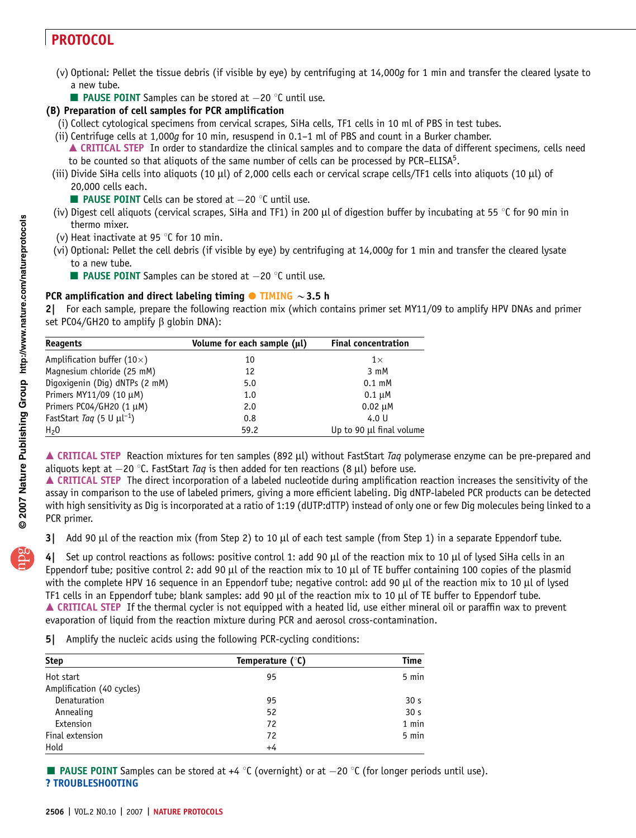- (v) Optional: Pellet the tissue debris (if visible by eye) by centrifuging at 14,000g for 1 min and transfer the cleared lysate to a new tube.
- $\blacksquare$  **PAUSE POINT** Samples can be stored at  $-20$  °C until use.

### (B) Preparation of cell samples for PCR amplification

- (i) Collect cytological specimens from cervical scrapes, SiHa cells, TF1 cells in 10 ml of PBS in test tubes.
- (ii) Centrifuge cells at 1,000g for 10 min, resuspend in 0.1–1 ml of PBS and count in a Burker chamber.
- ▲ CRITICAL STEP In order to standardize the clinical samples and to compare the data of different specimens, cells need to be counted so that aliquots of the same number of cells can be processed by PCR-ELISA<sup>5</sup>.
- (iii) Divide SiHa cells into aliquots (10  $\mu$ l) of 2,000 cells each or cervical scrape cells/TF1 cells into aliquots (10  $\mu$ l) of 20,000 cells each.
	- **PAUSE POINT** Cells can be stored at  $-20$  °C until use.
- (iv) Digest cell aliquots (cervical scrapes, SiHa and TF1) in 200 µl of digestion buffer by incubating at 55 °C for 90 min in thermo mixer.
- (v) Heat inactivate at 95  $\degree$ C for 10 min.
- (vi) Optional: Pellet the cell debris (if visible by eye) by centrifuging at 14,000g for 1 min and transfer the cleared lysate to a new tube.
	- **E** PAUSE POINT Samples can be stored at  $-20$  °C until use.

### PCR amplification and direct labeling timing  $\bullet$  TIMING  $\sim$  3.5 h

For each sample, prepare the following reaction mix (which contains primer set MY11/09 to amplify HPV DNAs and primer set PC04/GH20 to amplify  $\beta$  globin DNA):

| Reagents                                   | Volume for each sample (µl) | <b>Final concentration</b> |
|--------------------------------------------|-----------------------------|----------------------------|
| Amplification buffer (10 $\times$ )        | 10                          | $1\times$                  |
| Magnesium chloride (25 mM)                 | 12                          | 3 mM                       |
| Digoxigenin (Dig) dNTPs (2 mM)             | 5.0                         | $0.1 \text{ mM}$           |
| Primers MY11/09 (10 µM)                    | 1.0                         | $0.1 \mu M$                |
| Primers PC04/GH20 $(1 \mu M)$              | 2.0                         | $0.02 \mu M$               |
| FastStart Tag (5 U $\mu$ l <sup>-1</sup> ) | 0.8                         | 4.0 U                      |
| H <sub>2</sub> 0                           | 59.2                        | Up to 90 µl final volume   |

▲ CRITICAL STEP Reaction mixtures for ten samples (892 µl) without FastStart Taq polymerase enzyme can be pre-prepared and aliquots kept at  $-20$  °C. FastStart Taq is then added for ten reactions (8 µl) before use.

 $\blacktriangle$  CRITICAL STEP The direct incorporation of a labeled nucleotide during amplification reaction increases the sensitivity of the assay in comparison to the use of labeled primers, giving a more efficient labeling. Dig dNTP-labeled PCR products can be detected with high sensitivity as Dig is incorporated at a ratio of 1:19 (dUTP:dTTP) instead of only one or few Dig molecules being linked to a PCR primer.

3| Add 90  $\mu$ l of the reaction mix (from Step 2) to 10  $\mu$ l of each test sample (from Step 1) in a separate Eppendorf tube.

4| Set up control reactions as follows: positive control 1: add 90 µl of the reaction mix to 10 µl of lysed SiHa cells in an Eppendorf tube; positive control 2: add 90  $\mu$ l of the reaction mix to 10  $\mu$ l of TE buffer containing 100 copies of the plasmid with the complete HPV 16 sequence in an Eppendorf tube; negative control: add 90 µl of the reaction mix to 10 µl of lysed TF1 cells in an Eppendorf tube; blank samples: add 90  $\mu$ l of the reaction mix to 10  $\mu$ l of TE buffer to Eppendorf tube. **A CRITICAL STEP** If the thermal cycler is not equipped with a heated lid, use either mineral oil or paraffin wax to prevent evaporation of liquid from the reaction mixture during PCR and aerosol cross-contamination.

5| Amplify the nucleic acids using the following PCR-cycling conditions:

| <b>Step</b>               | Temperature $(^\circ \mathsf{C})$ | <b>Time</b>     |  |
|---------------------------|-----------------------------------|-----------------|--|
| Hot start                 | 95                                | 5 min           |  |
| Amplification (40 cycles) |                                   |                 |  |
| Denaturation              | 95                                | 30 <sub>s</sub> |  |
| Annealing                 | 52                                | 30 <sub>s</sub> |  |
| Extension                 | 72                                | $1$ min         |  |
| Final extension           | 72                                | 5 min           |  |
| Hold                      | +4                                |                 |  |

 $\blacksquare$  **PAUSE POINT** Samples can be stored at +4 °C (overnight) or at  $-20$  °C (for longer periods until use). ? TROUBLESHOOTING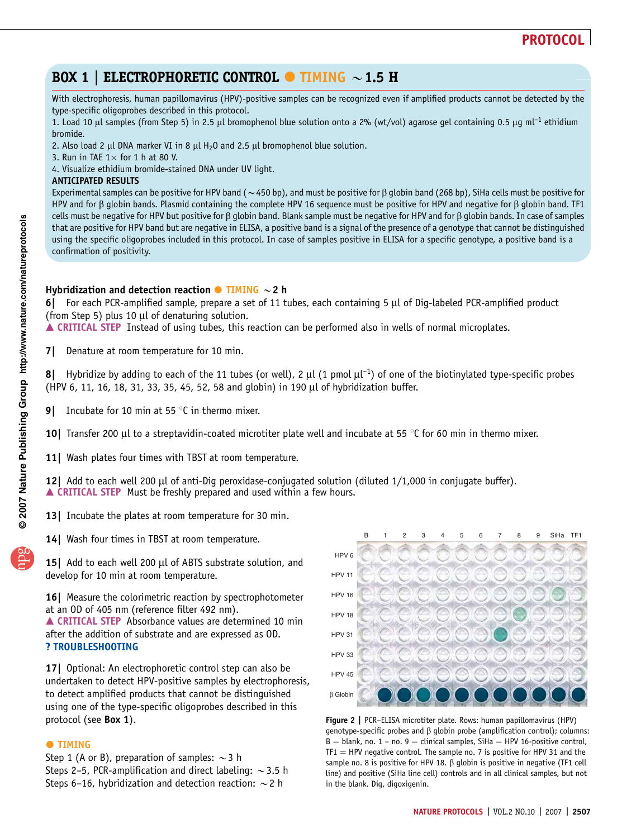### BOX 1 | ELECTROPHORETIC CONTROL  $\bullet$  TIMING  $\sim$  1.5 H

With electrophoresis, human papillomavirus (HPV)-positive samples can be recognized even if amplified products cannot be detected by the type-specific oligoprobes described in this protocol.

1. Load 10 µl samples (from Step 5) in 2.5 µl bromophenol blue solution onto a 2% (wt/vol) agarose gel containing 0.5 µg ml<sup>-1</sup> ethidium bromide.

2. Also load 2  $\mu$ l DNA marker VI in 8  $\mu$ l H<sub>2</sub>O and 2.5  $\mu$ l bromophenol blue solution.

3. Run in TAE  $1\times$  for 1 h at 80 V.

4. Visualize ethidium bromide-stained DNA under UV light.

### ANTICIPATED RESULTS

Experimental samples can be positive for HPV band ( $\sim$ 450 bp), and must be positive for  $\beta$  qlobin band (268 bp), SiHa cells must be positive for HPV and for  $\beta$  globin bands. Plasmid containing the complete HPV 16 sequence must be positive for HPV and negative for  $\beta$  globin band. TF1 cells must be negative for HPV but positive for  $\beta$  globin band. Blank sample must be negative for HPV and for  $\beta$  globin bands. In case of samples that are positive for HPV band but are negative in ELISA, a positive band is a signal of the presence of a genotype that cannot be distinguished using the specific oligoprobes included in this protocol. In case of samples positive in ELISA for a specific genotype, a positive band is a confirmation of positivity.

## **Hybridization and detection reaction • TIMING**  $\sim$  2 h 6 For each PCR-amplified sample, prepare a set of 11 to

For each PCR-amplified sample, prepare a set of 11 tubes, each containing 5 µl of Dig-labeled PCR-amplified product (from Step 5) plus 10  $\mu$ l of denaturing solution.

▲ CRITICAL STEP Instead of using tubes, this reaction can be performed also in wells of normal microplates.

7 | Denature at room temperature for 10 min.

8 Hybridize by adding to each of the 11 tubes (or well), 2  $\mu$ l (1 pmol  $\mu$ l<sup>-1</sup>) of one of the biotinylated type-specific probes (HPV 6, 11, 16, 18, 31, 33, 35, 45, 52, 58 and qlobin) in 190 µl of hybridization buffer.

9. Incubate for 10 min at 55  $\degree$ C in thermo mixer.

10 Transfer 200 µl to a streptavidin-coated microtiter plate well and incubate at 55  $\degree$ C for 60 min in thermo mixer.

11| Wash plates four times with TBST at room temperature.

12| Add to each well 200 µl of anti-Dig peroxidase-conjugated solution (diluted 1/1,000 in conjugate buffer). **△ CRITICAL STEP** Must be freshly prepared and used within a few hours.

13| Incubate the plates at room temperature for 30 min.

14| Wash four times in TBST at room temperature.

15| Add to each well 200  $\mu$ l of ABTS substrate solution, and develop for 10 min at room temperature.

16| Measure the colorimetric reaction by spectrophotometer at an OD of 405 nm (reference filter 492 nm).

▲ CRITICAL STEP Absorbance values are determined 10 min after the addition of substrate and are expressed as OD. ? TROUBLESHOOTING

17| Optional: An electrophoretic control step can also be undertaken to detect HPV-positive samples by electrophoresis, to detect amplified products that cannot be distinguished using one of the type-specific oligoprobes described in this protocol (see Box 1).

#### **• TIMING**

Step 1 (A or B), preparation of samples:  $\sim$  3 h Steps 2–5, PCR-amplification and direct labeling:  $\sim$  3.5 h Steps 6–16, hybridization and detection reaction:  $\sim$  2 h



Figure 2 | PCR-ELISA microtiter plate. Rows: human papillomavirus (HPV) genotype-specific probes and  $\beta$  globin probe (amplification control); columns:  $B =$  blank, no. 1 – no. 9 = clinical samples, SiHa = HPV 16-positive control,  $TF1 = HPV$  negative control. The sample no. 7 is positive for HPV 31 and the sample no. 8 is positive for HPV 18.  $\beta$  globin is positive in negative (TF1 cell line) and positive (SiHa line cell) controls and in all clinical samples, but not in the blank. Dig, digoxigenin.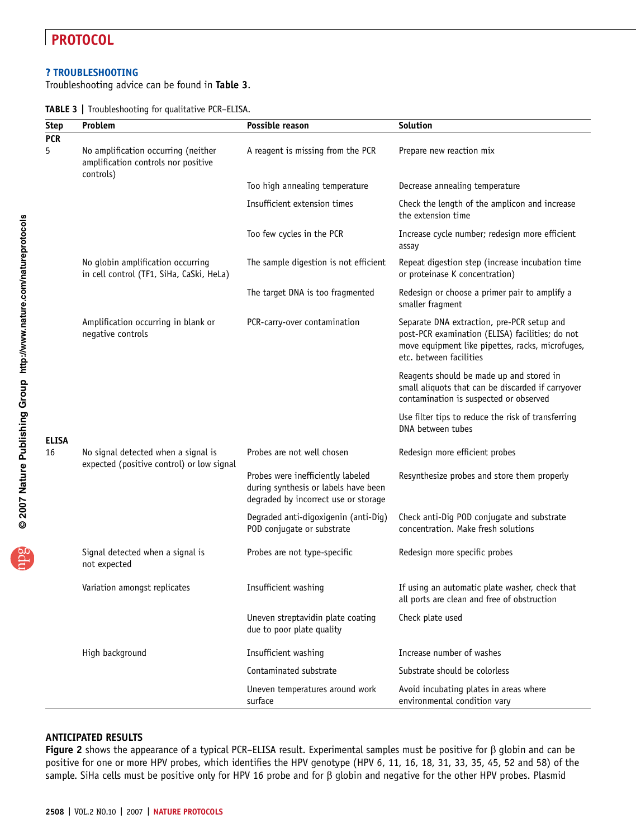### ? TROUBLESHOOTING

Troubleshooting advice can be found in Table 3.

TABLE 3 | Troubleshooting for qualitative PCR–ELISA.

| <b>Step</b>        | Problem                                                                                 | Possible reason                                                                                                   | Solution                                                                                                                                                                     |
|--------------------|-----------------------------------------------------------------------------------------|-------------------------------------------------------------------------------------------------------------------|------------------------------------------------------------------------------------------------------------------------------------------------------------------------------|
| <b>PCR</b><br>5    | No amplification occurring (neither<br>amplification controls nor positive<br>controls) | A reagent is missing from the PCR                                                                                 | Prepare new reaction mix                                                                                                                                                     |
|                    |                                                                                         | Too high annealing temperature                                                                                    | Decrease annealing temperature                                                                                                                                               |
|                    |                                                                                         | Insufficient extension times                                                                                      | Check the length of the amplicon and increase<br>the extension time                                                                                                          |
|                    |                                                                                         | Too few cycles in the PCR                                                                                         | Increase cycle number; redesign more efficient<br>assay                                                                                                                      |
|                    | No globin amplification occurring<br>in cell control (TF1, SiHa, CaSki, HeLa)           | The sample digestion is not efficient                                                                             | Repeat digestion step (increase incubation time<br>or proteinase K concentration)                                                                                            |
|                    |                                                                                         | The target DNA is too fragmented                                                                                  | Redesign or choose a primer pair to amplify a<br>smaller fragment                                                                                                            |
|                    | Amplification occurring in blank or<br>negative controls                                | PCR-carry-over contamination                                                                                      | Separate DNA extraction, pre-PCR setup and<br>post-PCR examination (ELISA) facilities; do not<br>move equipment like pipettes, racks, microfuges,<br>etc. between facilities |
|                    |                                                                                         |                                                                                                                   | Reagents should be made up and stored in<br>small aliquots that can be discarded if carryover<br>contamination is suspected or observed                                      |
|                    |                                                                                         |                                                                                                                   | Use filter tips to reduce the risk of transferring<br>DNA between tubes                                                                                                      |
| <b>ELISA</b><br>16 | No signal detected when a signal is<br>expected (positive control) or low signal        | Probes are not well chosen                                                                                        | Redesign more efficient probes                                                                                                                                               |
|                    |                                                                                         | Probes were inefficiently labeled<br>during synthesis or labels have been<br>degraded by incorrect use or storage | Resynthesize probes and store them properly                                                                                                                                  |
|                    |                                                                                         | Degraded anti-digoxigenin (anti-Dig)<br>POD conjugate or substrate                                                | Check anti-Dig POD conjugate and substrate<br>concentration. Make fresh solutions                                                                                            |
|                    | Signal detected when a signal is<br>not expected                                        | Probes are not type-specific                                                                                      | Redesign more specific probes                                                                                                                                                |
|                    | Variation amongst replicates                                                            | Insufficient washing                                                                                              | If using an automatic plate washer, check that<br>all ports are clean and free of obstruction                                                                                |
|                    |                                                                                         | Uneven streptavidin plate coating<br>due to poor plate quality                                                    | Check plate used                                                                                                                                                             |
|                    | High background                                                                         | Insufficient washing                                                                                              | Increase number of washes                                                                                                                                                    |
|                    |                                                                                         | Contaminated substrate                                                                                            | Substrate should be colorless                                                                                                                                                |
|                    |                                                                                         | Uneven temperatures around work<br>surface                                                                        | Avoid incubating plates in areas where<br>environmental condition vary                                                                                                       |

### ANTICIPATED RESULTS

Figure 2 shows the appearance of a typical PCR–ELISA result. Experimental samples must be positive for  $\beta$  globin and can be positive for one or more HPV probes, which identifies the HPV genotype (HPV 6, 11, 16, 18, 31, 33, 35, 45, 52 and 58) of the sample. SiHa cells must be positive only for HPV 16 probe and for  $\beta$  globin and negative for the other HPV probes. Plasmid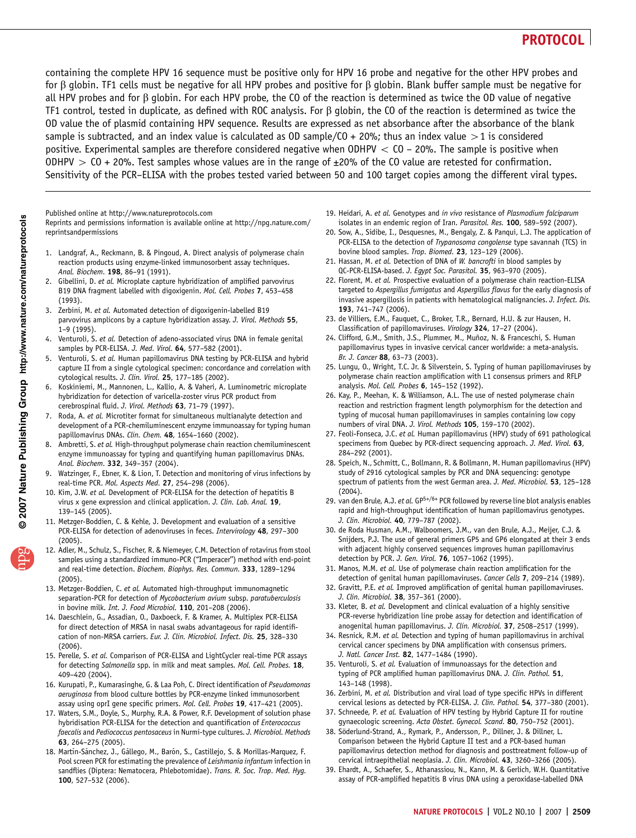containing the complete HPV 16 sequence must be positive only for HPV 16 probe and negative for the other HPV probes and for  $\beta$  globin. TF1 cells must be negative for all HPV probes and positive for  $\beta$  globin. Blank buffer sample must be negative for all HPV probes and for  $\beta$  globin. For each HPV probe, the CO of the reaction is determined as twice the OD value of negative TF1 control, tested in duplicate, as defined with ROC analysis. For  $\beta$  globin, the CO of the reaction is determined as twice the OD value the of plasmid containing HPV sequence. Results are expressed as net absorbance after the absorbance of the blank sample is subtracted, and an index value is calculated as OD sample/CO + 20%; thus an index value  $>1$  is considered positive. Experimental samples are therefore considered negative when ODHPV  $<$  CO – 20%. The sample is positive when ODHPV  $>$  CO + 20%. Test samples whose values are in the range of  $\pm$ 20% of the CO value are retested for confirmation. Sensitivity of the PCR–ELISA with the probes tested varied between 50 and 100 target copies among the different viral types.

Published online at http://www.natureprotocols.com

Reprints and permissions information is available online at http://npg.nature.com/ reprintsandpermissions

- 1. Landgraf, A., Reckmann, B. & Pingoud, A. Direct analysis of polymerase chain reaction products using enzyme-linked immunosorbent assay techniques. Anal. Biochem. 198, 86–91 (1991).
- 2. Gibellini, D. et al. Microplate capture hybridization of amplified parvovirus B19 DNA fragment labelled with digoxigenin. Mol. Cell. Probes 7, 453–458 (1993).
- 3. Zerbini, M. et al. Automated detection of digoxigenin-labelled B19 parvovirus amplicons by a capture hybridization assay. J. Virol. Methods 55, 1–9 (1995).
- Venturoli, S. et al. Detection of adeno-associated virus DNA in female genital samples by PCR-ELISA. J. Med. Virol. 64, 577-582 (2001).
- Venturoli, S. et al. Human papillomavirus DNA testing by PCR-ELISA and hybrid capture II from a single cytological specimen: concordance and correlation with cytological results. J. Clin. Virol. 25, 177–185 (2002).
- Koskiniemi, M., Mannonen, L., Kallio, A. & Vaheri, A. Luminometric microplate hybridization for detection of varicella-zoster virus PCR product from cerebrospinal fluid. J. Virol. Methods 63, 71–79 (1997).
- Roda, A. et al. Microtiter format for simultaneous multianalyte detection and development of a PCR-chemiluminescent enzyme immunoassay for typing human papillomavirus DNAs. Clin. Chem. 48, 1654-1660 (2002).
- 8. Ambretti, S. et al. High-throughput polymerase chain reaction chemiluminescent enzyme immunoassay for typing and quantifying human papillomavirus DNAs. Anal. Biochem. 332, 349–357 (2004).
- Watzinger, F., Ebner, K. & Lion, T. Detection and monitoring of virus infections by real-time PCR. Mol. Aspects Med. 27, 254–298 (2006).
- 10. Kim, J.W. et al. Development of PCR-ELISA for the detection of hepatitis B virus x gene expression and clinical application. J. Clin. Lab. Anal. 19, 139–145 (2005).
- 11. Metzger-Boddien, C. & Kehle, J. Development and evaluation of a sensitive PCR-ELISA for detection of adenoviruses in feces. Intervirology 48, 297-300 (2005).
- 12. Adler, M., Schulz, S., Fischer, R. & Niemeyer, C.M. Detection of rotavirus from stool samples using a standardized immuno-PCR (''Imperacer'') method with end-point and real-time detection. Biochem. Biophys. Res. Commun. 333, 1289–1294 (2005).
- 13. Metzger-Boddien, C. et al. Automated high-throughput immunomagnetic separation-PCR for detection of Mycobacterium avium subsp. paratuberculosis in bovine milk. Int. J. Food Microbiol. 110, 201–208 (2006).
- 14. Daeschlein, G., Assadian, O., Daxboeck, F. & Kramer, A. Multiplex PCR-ELISA for direct detection of MRSA in nasal swabs advantageous for rapid identification of non-MRSA carriers. Eur. J. Clin. Microbiol. Infect. Dis. 25, 328–330 (2006).
- 15. Perelle, S. et al. Comparison of PCR-ELISA and LightCycler real-time PCR assays for detecting Salmonella spp. in milk and meat samples. Mol. Cell. Probes. 18, 409–420 (2004).
- 16. Kurupati, P., Kumarasinghe, G. & Laa Poh, C. Direct identification of Pseudomonas aeruginosa from blood culture bottles by PCR-enzyme linked immunosorbent assay using oprI gene specific primers. Mol. Cell. Probes 19, 417-421 (2005).
- 17. Waters, S.M., Doyle, S., Murphy, R.A. & Power, R.F. Development of solution phase hybridisation PCR-ELISA for the detection and quantification of Enterococcus faecalis and Pediococcus pentosaceusin Nurmi-type cultures. J. Microbiol. Methods 63, 264–275 (2005).
- 18. Martín-Sánchez, J., Gállego, M., Barón, S., Castillejo, S. & Morillas-Marquez, F. Pool screen PCR for estimating the prevalence of Leishmania infantum infection in sandflies (Diptera: Nematocera, Phlebotomidae). Trans. R. Soc. Trop. Med. Hyg. 100, 527–532 (2006).
- 19. Heidari, A. et al. Genotypes and in vivo resistance of Plasmodium falciparum isolates in an endemic region of Iran. Parasitol. Res. 100, 589-592 (2007).
- 20. Sow, A., Sidibe, I., Desquesnes, M., Bengaly, Z. & Panqui, L.J. The application of PCR-ELISA to the detection of Trypanosoma congolense type savannah (TCS) in bovine blood samples. Trop. Biomed. 23, 123-129 (2006).
- 21. Hassan, M. et al. Detection of DNA of W. bancrofti in blood samples by QC-PCR-ELISA-based. J. Egypt Soc. Parasitol. 35, 963–970 (2005).
- 22. Florent, M. et al. Prospective evaluation of a polymerase chain reaction-ELISA targeted to Aspergillus fumigatus and Aspergillus flavus for the early diagnosis of invasive aspergillosis in patients with hematological malignancies. J. Infect. Dis. 193, 741–747 (2006).
- 23. de Villiers, E.M., Fauquet, C., Broker, T.R., Bernard, H.U. & zur Hausen, H. Classification of papillomaviruses. Virology 324, 17–27 (2004).
- 24. Clifford, G.M., Smith, J.S., Plummer, M., Muñoz, N. & Franceschi, S. Human papillomavirus types in invasive cervical cancer worldwide: a meta-analysis. Br. J. Cancer 88, 63-73 (2003).
- 25. Lungu, O., Wright, T.C. Jr. & Silverstein, S. Typing of human papillomaviruses by polymerase chain reaction amplification with L1 consensus primers and RFLP analysis. Mol. Cell. Probes 6, 145–152 (1992).
- 26. Kay, P., Meehan, K. & Williamson, A.L. The use of nested polymerase chain reaction and restriction fragment length polymorphism for the detection and typing of mucosal human papillomaviruses in samples containing low copy numbers of viral DNA. J. Virol. Methods 105, 159–170 (2002).
- 27. Feoli-Fonseca, J.C. et al. Human papillomavirus (HPV) study of 691 pathological specimens from Quebec by PCR-direct sequencing approach. J. Med. Virol. 63, 284–292 (2001).
- 28. Speich, N., Schmitt, C., Bollmann, R. & Bollmann, M. Human papillomavirus (HPV) study of 2916 cytological samples by PCR and DNA sequencing: genotype spectrum of patients from the west German area. J. Med. Microbiol. 53, 125-128 (2004).
- 29. van den Brule, A.J. et al.  $GP^{5+/6+}$  PCR followed by reverse line blot analysis enables rapid and high-throughput identification of human papillomavirus genotypes. J. Clin. Microbiol. 40, 779–787 (2002).
- 30. de Roda Husman, A.M., Walboomers, J.M., van den Brule, A.J., Meijer, C.J. & Snijders, P.J. The use of general primers GP5 and GP6 elongated at their 3 ends with adjacent highly conserved sequences improves human papillomavirus detection by PCR. J. Gen. Virol. 76, 1057-1062 (1995).
- 31. Manos, M.M. et al. Use of polymerase chain reaction amplification for the detection of genital human papillomaviruses. Cancer Cells 7, 209-214 (1989).
- 32. Gravitt, P.E. et al. Improved amplification of genital human papillomaviruses. J. Clin. Microbiol. 38, 357–361 (2000).
- 33. Kleter, B. et al. Development and clinical evaluation of a highly sensitive PCR-reverse hybridization line probe assay for detection and identification of anogenital human papillomavirus. J. Clin. Microbiol. 37, 2508-2517 (1999).
- 34. Resnick, R.M. et al. Detection and typing of human papillomavirus in archival cervical cancer specimens by DNA amplification with consensus primers. J. Natl. Cancer Inst. 82, 1477–1484 (1990).
- 35. Venturoli, S. et al. Evaluation of immunoassays for the detection and typing of PCR amplified human papillomavirus DNA. J. Clin. Pathol. 51, 143–148 (1998).
- 36. Zerbini, M. et al. Distribution and viral load of type specific HPVs in different cervical lesions as detected by PCR-ELISA. J. Clin. Pathol. 54, 377-380 (2001).
- 37. Schneede, P. et al. Evaluation of HPV testing by Hybrid Capture II for routine gynaecologic screening. Acta Obstet. Gynecol. Scand. 80, 750-752 (2001).
- 38. Söderlund-Strand, A., Rymark, P., Andersson, P., Dillner, J. & Dillner, L. Comparison between the Hybrid Capture II test and a PCR-based human papillomavirus detection method for diagnosis and posttreatment follow-up of cervical intraepithelial neoplasia. J. Clin. Microbiol. 43, 3260–3266 (2005).
- 39. Ehardt, A., Schaefer, S., Athanassiou, N., Kann, M. & Gerlich, W.H. Quantitative assay of PCR-amplified hepatitis B virus DNA using a peroxidase-labelled DNA